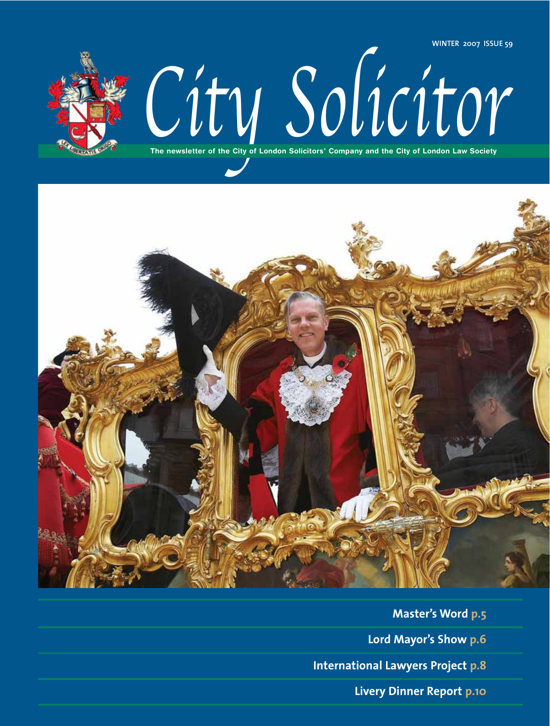

# WINTER 2007 ISSUE 59<br>The newsletter of the City of London Solicitors' Company and the City of London Law Society of London Solicitors' Company and the City of London Law Society



**Master's Word p.5 Lord Mayor's Show p.6 International Lawyers Project p.8 Livery Dinner Report p.10**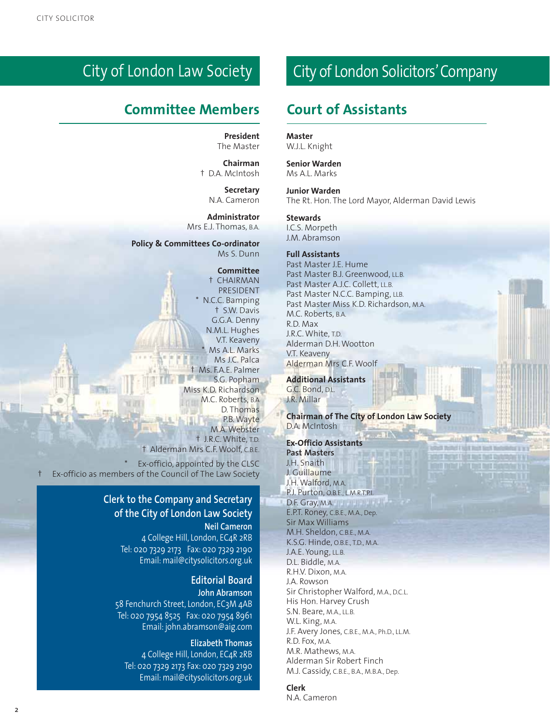## City of London Law Society

### **Committee Members Court of Assistants**

**President** The Master

**Chairman** † D.A. McIntosh

> **Secretary** N.A. Cameron

**Administrator** Mrs E.J. Thomas, B.A.

**Policy & Committees Co-ordinator** Ms S. Dunn

**Committee** † CHAIRMAN PRESIDENT N.C.C. Bamping † S.W. Davis G.G.A. Denny N.M.L. Hughes V.T. Keaveny Ms A.L. Marks Ms J.C. Palca † Ms. F.A.E. Palmer S.G. Popham Miss K.D. Richardson M.C. Roberts, B.A D. Thomas P.B. Wayte M.A. Webster † J.R.C. White, T.D. † Alderman Mrs C.F. Woolf, C.B.E. Ex-officio, appointed by the CLSC

† Ex-officio as members of the Council of The Law Society

#### **Clerk to the Company and Secretary of the City of London Law Society Neil Cameron**

4 College Hill, London, EC4R 2RB Tel: 020 7329 2173 Fax: 020 7329 2190 Email: mail@citysolicitors.org.uk

### **Editorial Board**

**John Abramson** 58 Fenchurch Street, London, EC3M 4AB Tel: 020 7954 8525 Fax: 020 7954 8961 Email: john.abramson@aig.com

**Elizabeth Thomas** 4 College Hill, London, EC4R 2RB Tel: 020 7329 2173 Fax: 020 7329 2190 Email: mail@citysolicitors.org.uk

# City of London Solicitors'Company

**Master**

W.J.L. Knight

**Senior Warden** Ms A.L. Marks

**Junior Warden** The Rt. Hon. The Lord Mayor, Alderman David Lewis

#### **Stewards**

I.C.S. Morpeth J.M. Abramson

#### **Full Assistants**

Past Master J.E. Hume Past Master B.J. Greenwood, LL.B. Past Master A.J.C. Collett, LL.B. Past Master N.C.C. Bamping, LLB. Past Master Miss K.D. Richardson, M.A. M.C. Roberts, B.A. R.D. Max J.R.C. White, T.D. Alderman D.H. Wootton V.T. Keaveny Alderman Mrs C.F. Woolf

**Additional Assistants** G.C. Bond, D.L. J.R. Millar

**Chairman of The City of London Law Society** D.A. McIntosh

**Ex-Officio Assistants Past Masters** J.H. Snaith J. Guillaume J.H. Walford, M.A. P.J. Purton, O.B.E., L.M.R.T.P.I. D.F. Gray, M.A. E.P.T. Roney, C.B.E., M.A., Dep. Sir Max Williams M.H. Sheldon, C.B.E., M.A. K.S.G. Hinde, O.B.E., T.D., M.A. J.A.E. Young, LL.B. D.L. Biddle, M.A. R.H.V. Dixon, M.A. J.A. Rowson Sir Christopher Walford, M.A., D.C.L. His Hon. Harvey Crush S.N. Beare, M.A., LL.B. W.L. King, M.A. J.F. Avery Jones, C.B.E., M.A., Ph.D., LL.M. R.D. Fox, M.A. M.R. Mathews, M.A. Alderman Sir Robert Finch M.J. Cassidy, C.B.E., B.A., M.B.A., Dep.

#### **Clerk**

N.A. Cameron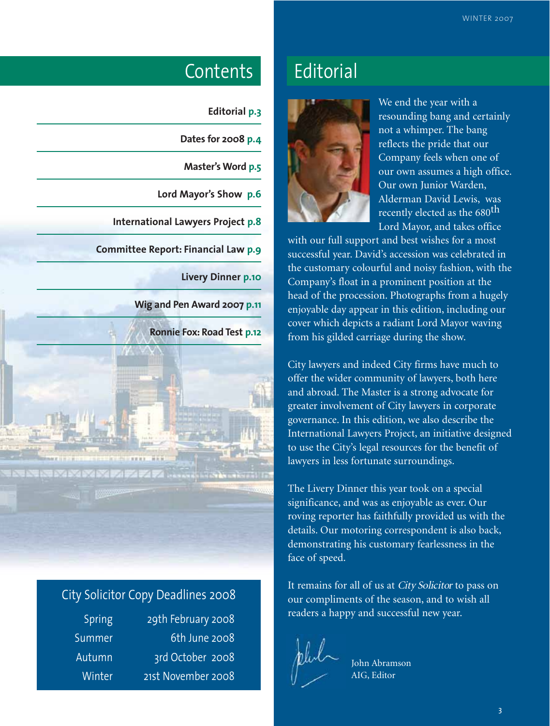| <b>Editorial p.3</b>                       |
|--------------------------------------------|
| Dates for 2008 p.4                         |
| Master's Word p.5                          |
| Lord Mayor's Show p.6                      |
| <b>International Lawyers Project p.8</b>   |
| <b>Committee Report: Financial Law p.9</b> |
| <b>Livery Dinner p.10</b>                  |
| Wig and Pen Award 2007 p.11                |
| <b>Ronnie Fox: Road Test p.12</b>          |
|                                            |
|                                            |
|                                            |
|                                            |
|                                            |
|                                            |
|                                            |

### City Solicitor Copy Deadlines 2008

| Spring | 29th February 2008 |
|--------|--------------------|
| Summer | 6th June 2008      |
| Autumn | 3rd October 2008   |
| Winter | 21st November 2008 |
|        |                    |

# Contents Editorial



We end the year with a resounding bang and certainly not a whimper. The bang reflects the pride that our Company feels when one of our own assumes a high office. Our own Junior Warden, Alderman David Lewis, was recently elected as the 680<sup>th</sup> Lord Mayor, and takes office

with our full support and best wishes for a most successful year. David's accession was celebrated in the customary colourful and noisy fashion, with the Company's float in a prominent position at the head of the procession. Photographs from a hugely enjoyable day appear in this edition, including our cover which depicts a radiant Lord Mayor waving from his gilded carriage during the show.

City lawyers and indeed City firms have much to offer the wider community of lawyers, both here and abroad. The Master is a strong advocate for greater involvement of City lawyers in corporate governance. In this edition, we also describe the International Lawyers Project, an initiative designed to use the City's legal resources for the benefit of lawyers in less fortunate surroundings.

The Livery Dinner this year took on a special significance, and was as enjoyable as ever. Our roving reporter has faithfully provided us with the details. Our motoring correspondent is also back, demonstrating his customary fearlessness in the face of speed.

It remains for all of us at City Solicitor to pass on our compliments of the season, and to wish all readers a happy and successful new year.

John Abramson AIG, Editor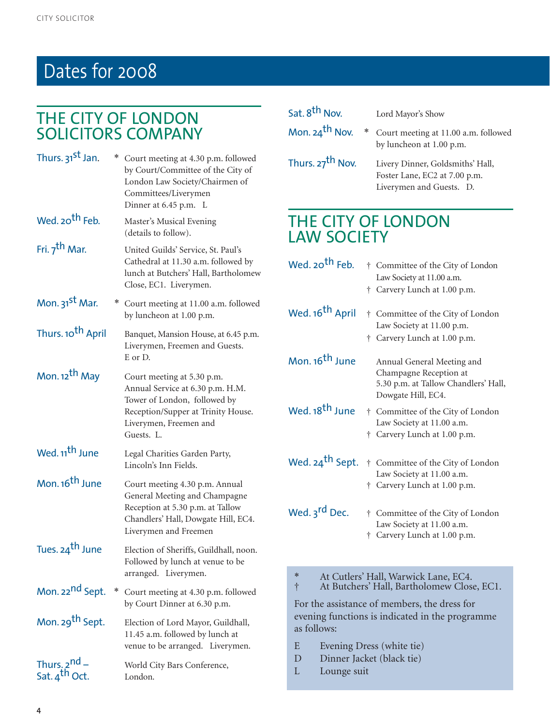# Dates for 2008

## THE CITY OF LONDON SOLICITORS COMPANY

| Thurs. 31 <sup>St</sup> Jan.                   | ∗      | Court meeting at 4.30 p.m. followed<br>by Court/Committee of the City of<br>London Law Society/Chairmen of<br>Committees/Liverymen<br>Dinner at 6.45 p.m. L                  |
|------------------------------------------------|--------|------------------------------------------------------------------------------------------------------------------------------------------------------------------------------|
| Wed. 20 <sup>th</sup> Feb.                     |        | Master's Musical Evening<br>(details to follow).                                                                                                                             |
| Fri. 7 <sup>th</sup> Mar.                      |        | United Guilds' Service, St. Paul's<br>Cathedral at 11.30 a.m. followed by<br>lunch at Butchers' Hall, Bartholomew<br>Close, EC1. Liverymen.                                  |
| Mon. 31 <sup>St</sup> Mar.                     | $\ast$ | Court meeting at 11.00 a.m. followed<br>by luncheon at 1.00 p.m.                                                                                                             |
| Thurs. 10 <sup>th</sup> April                  |        | Banquet, Mansion House, at 6.45 p.m.<br>Liverymen, Freemen and Guests.<br>E or D.                                                                                            |
| Mon. 12 <sup>th</sup> May                      |        | Court meeting at 5.30 p.m.<br>Annual Service at 6.30 p.m. H.M.<br>Tower of London, followed by<br>Reception/Supper at Trinity House.<br>Liverymen, Freemen and<br>Guests. L. |
| Wed. 11 <sup>th</sup> June                     |        | Legal Charities Garden Party,<br>Lincoln's Inn Fields.                                                                                                                       |
| Mon. 16 <sup>th</sup> June                     |        | Court meeting 4.30 p.m. Annual<br>General Meeting and Champagne<br>Reception at 5.30 p.m. at Tallow<br>Chandlers' Hall, Dowgate Hill, EC4.<br>Liverymen and Freemen          |
| Tues. 24 <sup>th</sup> June                    |        | Election of Sheriffs, Guildhall, noon.<br>Followed by lunch at venue to be<br>arranged. Liverymen.                                                                           |
| Mon. 22 <sup>nd</sup> Sept.                    | ∗      | Court meeting at 4.30 p.m. followed<br>by Court Dinner at 6.30 p.m.                                                                                                          |
| Mon. 29 <sup>th</sup> Sept.                    |        | Election of Lord Mayor, Guildhall,<br>11.45 a.m. followed by lunch at<br>venue to be arranged. Liverymen.                                                                    |
| Thurs. $2^{nd}$ –<br>Sat. 4 <sup>th</sup> Oct. |        | World City Bars Conference,<br>London.                                                                                                                                       |

| Sat. 8 <sup>th</sup> Nov.    | Lord Mayor's Show                                                                                                                  |
|------------------------------|------------------------------------------------------------------------------------------------------------------------------------|
| Mon. 24 <sup>th</sup> Nov.   | $\ast$<br>Court meeting at 11.00 a.m. followed<br>by luncheon at 1.00 p.m.                                                         |
| Thurs. 27 <sup>th</sup> Nov. | Livery Dinner, Goldsmiths' Hall,<br>Foster Lane, EC2 at 7.00 p.m.<br>Liverymen and Guests. D.                                      |
| <b>LAW SOCIETY</b>           | THE CITY OF LONDON                                                                                                                 |
| Wed. 20 <sup>th</sup> Feb.   | † Committee of the City of London<br>Law Society at 11.00 a.m.<br>† Carvery Lunch at 1.00 p.m.                                     |
| Wed. 16 <sup>th</sup> April  | † Committee of the City of London<br>Law Society at 11.00 p.m.<br>† Carvery Lunch at 1.00 p.m.                                     |
| Mon. 16 <sup>th</sup> June   | Annual General Meeting and<br>Champagne Reception at<br>5.30 p.m. at Tallow Chandlers' Hall,<br>Dowgate Hill, EC4.                 |
| Wed. 18 <sup>th</sup> June   | † Committee of the City of London<br>Law Society at 11.00 a.m.<br>† Carvery Lunch at 1.00 p.m.                                     |
| Wed. 24 <sup>th</sup> Sept.  | † Committee of the City of London<br>Law Society at 11.00 a.m.<br>† Carvery Lunch at 1.00 p.m.                                     |
| Wed. 3 <sup>rd</sup> Dec.    | † Committee of the City of London<br>Law Society at 11.00 a.m.<br>† Carvery Lunch at 1.00 p.m.                                     |
| $\ast$<br>$\dagger$          | At Cutlers' Hall, Warwick Lane, EC4.<br>At Butchers' Hall, Bartholomew Close, EC1.<br>For the assistance of members, the dress for |

evening functions is indicated in the programme as follows:

- E Evening Dress (white tie)
- D Dinner Jacket (black tie)
- L Lounge suit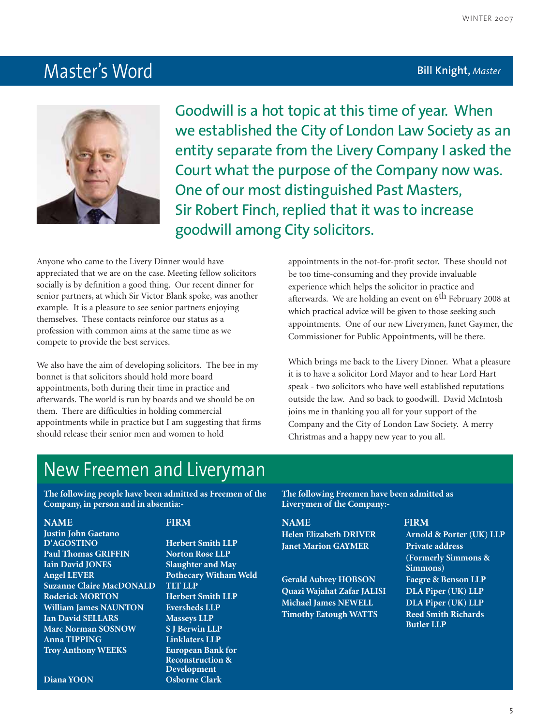# **Master's Word <b>Bill Knight**, *Master*



Goodwill is a hot topic at this time of year. When we established the City of London Law Society as an entity separate from the Livery Company I asked the Court what the purpose of the Company now was. One of our most distinguished Past Masters, Sir Robert Finch, replied that it was to increase goodwill among City solicitors.

Anyone who came to the Livery Dinner would have appreciated that we are on the case. Meeting fellow solicitors socially is by definition a good thing. Our recent dinner for senior partners, at which Sir Victor Blank spoke, was another example. It is a pleasure to see senior partners enjoying themselves. These contacts reinforce our status as a profession with common aims at the same time as we compete to provide the best services.

We also have the aim of developing solicitors. The bee in my bonnet is that solicitors should hold more board appointments, both during their time in practice and afterwards. The world is run by boards and we should be on them. There are difficulties in holding commercial appointments while in practice but I am suggesting that firms should release their senior men and women to hold

appointments in the not-for-profit sector. These should not be too time-consuming and they provide invaluable experience which helps the solicitor in practice and afterwards. We are holding an event on  $6<sup>th</sup>$  February 2008 at which practical advice will be given to those seeking such appointments. One of our new Liverymen, Janet Gaymer, the Commissioner for Public Appointments, will be there.

Which brings me back to the Livery Dinner. What a pleasure it is to have a solicitor Lord Mayor and to hear Lord Hart speak - two solicitors who have well established reputations outside the law. And so back to goodwill. David McIntosh joins me in thanking you all for your support of the Company and the City of London Law Society. A merry Christmas and a happy new year to you all.

# New Freemen and Liveryman

**The following people have been admitted as Freemen of the Company, in person and in absentia:-**

#### **NAME** FIRM

**Justin John Gaetano Paul Thomas GRIFFIN Iain David JONES Slaughter and May Angel LEVER Pothecary Witham Weld Suzanne Claire MacDONALD TLT LLP Roderick MORTON Herbert Smith LLP William James NAUNTON Eversheds LLP Ian David SELLARS** Masseys LLP **Marc Norman SOSNOW S J Berwin LLP Anna TIPPING Linklaters LLP Troy Anthony WEEKS European Bank for**

**Herbert Smith LLP**<br>Norton Rose LLP **Reconstruction & Development Diana YOON Osborne Clark**

**The following Freemen have been admitted as Liverymen of the Company:-**

#### **NAME** FIRM

*<u>Ianet Marion GAYMER</u>* Private address

**Gerald Aubrey HOBSON Faegre & Benson LLP Quazi Wajahat Zafar JALISI DLA Piper (UK) LLP Michael James NEWELL DLA Piper (UK) LLP Timothy Eatough WATTS Reed Smith Richards**

**Helen Elizabeth DRIVER Arnold & Porter (UK) LLP (Formerly Simmons & Simmons) Butler LLP**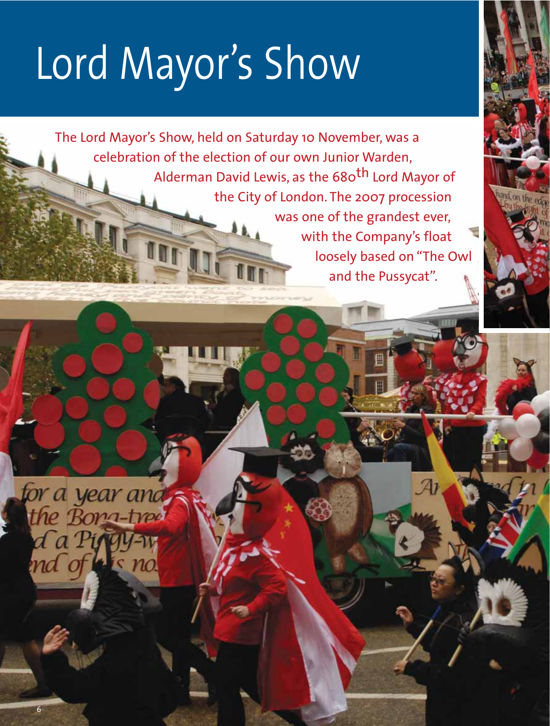# Lord Mayor's Show

The Lord Mayor's Show, held on Saturday 10 November, was a celebration of the election of our own Junior Warden, Alderman David Lewis, as the 680<sup>th</sup> Lord Mayor of the City of London. The 2007 procession was one of the grandest ever, with the Company's float loosely based on "The Owl and the Pussycat".

for a year and<br>the Bona-tree  $is$  no  $nd$  of  $\blacksquare$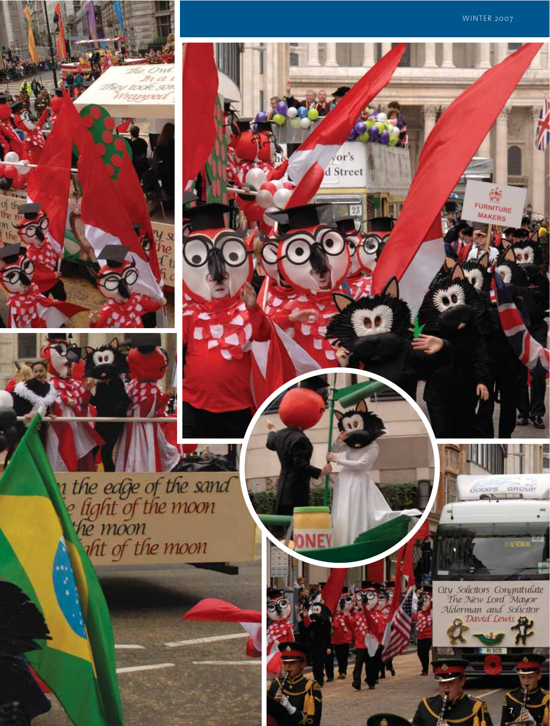FURNITURE<br>MAKERS

yor's d Street





n the edge of the sand<br>e light of the moon<br>the moon<br>the moon

City Solicitors Congratulate<br>The New Lord Mayor<br>Alderman and Solicitor

 $\frac{1}{\sqrt{2}}$ 

7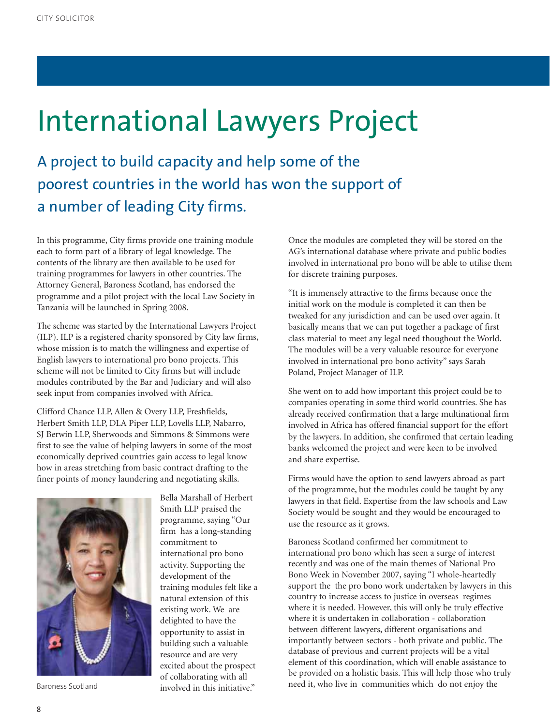# International Lawyers Project

A project to build capacity and help some of the poorest countries in the world has won the support of a number of leading City firms.

In this programme, City firms provide one training module each to form part of a library of legal knowledge. The contents of the library are then available to be used for training programmes for lawyers in other countries. The Attorney General, Baroness Scotland, has endorsed the programme and a pilot project with the local Law Society in Tanzania will be launched in Spring 2008.

The scheme was started by the International Lawyers Project (ILP). ILP is a registered charity sponsored by City law firms, whose mission is to match the willingness and expertise of English lawyers to international pro bono projects. This scheme will not be limited to City firms but will include modules contributed by the Bar and Judiciary and will also seek input from companies involved with Africa.

Clifford Chance LLP, Allen & Overy LLP, Freshfields, Herbert Smith LLP, DLA Piper LLP, Lovells LLP, Nabarro, SJ Berwin LLP, Sherwoods and Simmons & Simmons were first to see the value of helping lawyers in some of the most economically deprived countries gain access to legal know how in areas stretching from basic contract drafting to the finer points of money laundering and negotiating skills.



Baroness Scotland

Bella Marshall of Herbert Smith LLP praised the programme, saying "Our firm has a long-standing commitment to international pro bono activity. Supporting the development of the training modules felt like a natural extension of this existing work. We are delighted to have the opportunity to assist in building such a valuable resource and are very excited about the prospect of collaborating with all involved in this initiative."

Once the modules are completed they will be stored on the AG's international database where private and public bodies involved in international pro bono will be able to utilise them for discrete training purposes.

"It is immensely attractive to the firms because once the initial work on the module is completed it can then be tweaked for any jurisdiction and can be used over again. It basically means that we can put together a package of first class material to meet any legal need thoughout the World. The modules will be a very valuable resource for everyone involved in international pro bono activity" says Sarah Poland, Project Manager of ILP.

She went on to add how important this project could be to companies operating in some third world countries. She has already received confirmation that a large multinational firm involved in Africa has offered financial support for the effort by the lawyers. In addition, she confirmed that certain leading banks welcomed the project and were keen to be involved and share expertise.

Firms would have the option to send lawyers abroad as part of the programme, but the modules could be taught by any lawyers in that field. Expertise from the law schools and Law Society would be sought and they would be encouraged to use the resource as it grows.

Baroness Scotland confirmed her commitment to international pro bono which has seen a surge of interest recently and was one of the main themes of National Pro Bono Week in November 2007, saying "I whole-heartedly support the the pro bono work undertaken by lawyers in this country to increase access to justice in overseas regimes where it is needed. However, this will only be truly effective where it is undertaken in collaboration - collaboration between different lawyers, different organisations and importantly between sectors - both private and public. The database of previous and current projects will be a vital element of this coordination, which will enable assistance to be provided on a holistic basis. This will help those who truly need it, who live in communities which do not enjoy the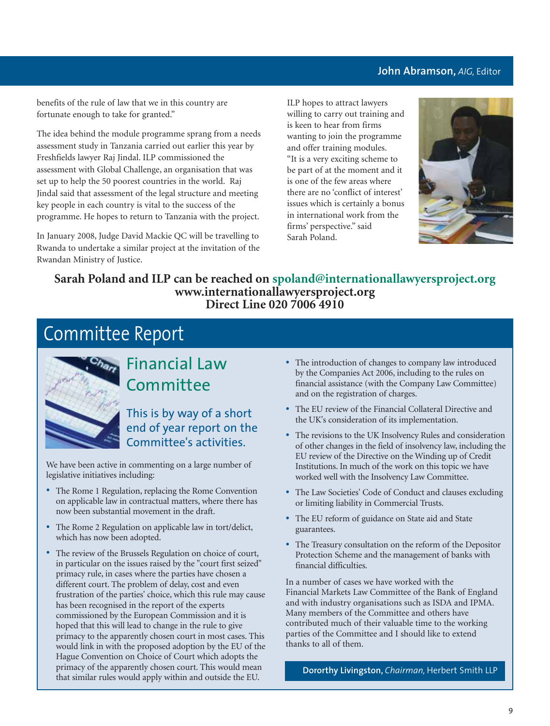#### **John Abramson,** *AIG,* Editor

benefits of the rule of law that we in this country are fortunate enough to take for granted."

The idea behind the module programme sprang from a needs assessment study in Tanzania carried out earlier this year by Freshfields lawyer Raj Jindal. ILP commissioned the assessment with Global Challenge, an organisation that was set up to help the 50 poorest countries in the world. Raj Jindal said that assessment of the legal structure and meeting key people in each country is vital to the success of the programme. He hopes to return to Tanzania with the project.

In January 2008, Judge David Mackie QC will be travelling to Rwanda to undertake a similar project at the invitation of the Rwandan Ministry of Justice.

ILP hopes to attract lawyers willing to carry out training and is keen to hear from firms wanting to join the programme and offer training modules. "It is a very exciting scheme to be part of at the moment and it is one of the few areas where there are no 'conflict of interest' issues which is certainly a bonus in international work from the firms' perspective." said Sarah Poland.



### **Sarah Poland and ILP can be reached on spoland@internationallawyersproject.org www.internationallawyersproject.org Direct Line 020 7006 4910**

# Committee Report



# Financial Law Committee

### This is by way of a short end of year report on the Committee's activities.

We have been active in commenting on a large number of legislative initiatives including:

- The Rome 1 Regulation, replacing the Rome Convention on applicable law in contractual matters, where there has now been substantial movement in the draft.
- The Rome 2 Regulation on applicable law in tort/delict, which has now been adopted.
- The review of the Brussels Regulation on choice of court, in particular on the issues raised by the "court first seized" primacy rule, in cases where the parties have chosen a different court. The problem of delay, cost and even frustration of the parties' choice, which this rule may cause has been recognised in the report of the experts commissioned by the European Commission and it is hoped that this will lead to change in the rule to give primacy to the apparently chosen court in most cases. This would link in with the proposed adoption by the EU of the Hague Convention on Choice of Court which adopts the primacy of the apparently chosen court. This would mean that similar rules would apply within and outside the EU.
- The introduction of changes to company law introduced by the Companies Act 2006, including to the rules on financial assistance (with the Company Law Committee) and on the registration of charges.
- The EU review of the Financial Collateral Directive and the UK's consideration of its implementation.
- The revisions to the UK Insolvency Rules and consideration of other changes in the field of insolvency law, including the EU review of the Directive on the Winding up of Credit Institutions. In much of the work on this topic we have worked well with the Insolvency Law Committee.
- The Law Societies' Code of Conduct and clauses excluding or limiting liability in Commercial Trusts.
- The EU reform of guidance on State aid and State guarantees.
- The Treasury consultation on the reform of the Depositor Protection Scheme and the management of banks with financial difficulties.

In a number of cases we have worked with the Financial Markets Law Committee of the Bank of England and with industry organisations such as ISDA and IPMA. Many members of the Committee and others have contributed much of their valuable time to the working parties of the Committee and I should like to extend thanks to all of them.

**Dororthy Livingston,** *Chairman,* Herbert Smith LLP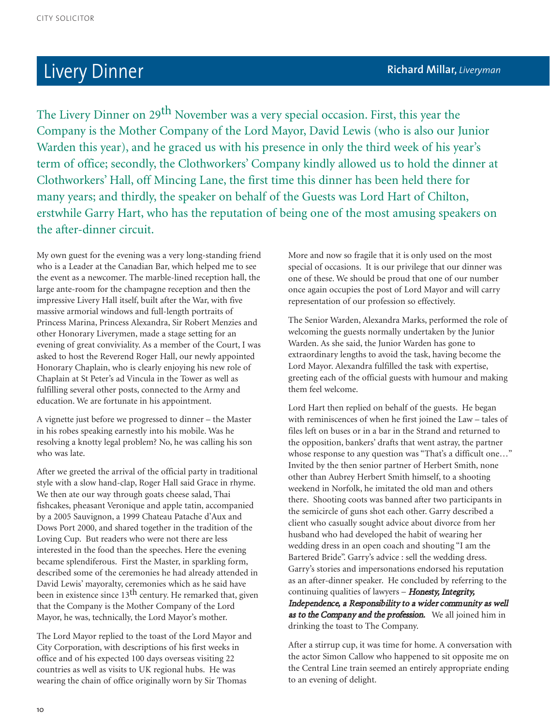# Livery Dinner

The Livery Dinner on 29<sup>th</sup> November was a very special occasion. First, this year the Company is the Mother Company of the Lord Mayor, David Lewis (who is also our Junior Warden this year), and he graced us with his presence in only the third week of his year's term of office; secondly, the Clothworkers' Company kindly allowed us to hold the dinner at Clothworkers' Hall, off Mincing Lane, the first time this dinner has been held there for many years; and thirdly, the speaker on behalf of the Guests was Lord Hart of Chilton, erstwhile Garry Hart, who has the reputation of being one of the most amusing speakers on the after-dinner circuit.

My own guest for the evening was a very long-standing friend who is a Leader at the Canadian Bar, which helped me to see the event as a newcomer. The marble-lined reception hall, the large ante-room for the champagne reception and then the impressive Livery Hall itself, built after the War, with five massive armorial windows and full-length portraits of Princess Marina, Princess Alexandra, Sir Robert Menzies and other Honorary Liverymen, made a stage setting for an evening of great conviviality. As a member of the Court, I was asked to host the Reverend Roger Hall, our newly appointed Honorary Chaplain, who is clearly enjoying his new role of Chaplain at St Peter's ad Vincula in the Tower as well as fulfilling several other posts, connected to the Army and education. We are fortunate in his appointment.

A vignette just before we progressed to dinner – the Master in his robes speaking earnestly into his mobile. Was he resolving a knotty legal problem? No, he was calling his son who was late.

After we greeted the arrival of the official party in traditional style with a slow hand-clap, Roger Hall said Grace in rhyme. We then ate our way through goats cheese salad, Thai fishcakes, pheasant Veronique and apple tatin, accompanied by a 2005 Sauvignon, a 1999 Chateau Patache d'Aux and Dows Port 2000, and shared together in the tradition of the Loving Cup. But readers who were not there are less interested in the food than the speeches. Here the evening became splendiferous. First the Master, in sparkling form, described some of the ceremonies he had already attended in David Lewis' mayoralty, ceremonies which as he said have been in existence since  $13<sup>th</sup>$  century. He remarked that, given that the Company is the Mother Company of the Lord Mayor, he was, technically, the Lord Mayor's mother.

The Lord Mayor replied to the toast of the Lord Mayor and City Corporation, with descriptions of his first weeks in office and of his expected 100 days overseas visiting 22 countries as well as visits to UK regional hubs. He was wearing the chain of office originally worn by Sir Thomas

More and now so fragile that it is only used on the most special of occasions. It is our privilege that our dinner was one of these. We should be proud that one of our number once again occupies the post of Lord Mayor and will carry representation of our profession so effectively.

The Senior Warden, Alexandra Marks, performed the role of welcoming the guests normally undertaken by the Junior Warden. As she said, the Junior Warden has gone to extraordinary lengths to avoid the task, having become the Lord Mayor. Alexandra fulfilled the task with expertise, greeting each of the official guests with humour and making them feel welcome.

Lord Hart then replied on behalf of the guests. He began with reminiscences of when he first joined the Law – tales of files left on buses or in a bar in the Strand and returned to the opposition, bankers' drafts that went astray, the partner whose response to any question was "That's a difficult one…" Invited by the then senior partner of Herbert Smith, none other than Aubrey Herbert Smith himself, to a shooting weekend in Norfolk, he imitated the old man and others there. Shooting coots was banned after two participants in the semicircle of guns shot each other. Garry described a client who casually sought advice about divorce from her husband who had developed the habit of wearing her wedding dress in an open coach and shouting "I am the Bartered Bride". Garry's advice : sell the wedding dress. Garry's stories and impersonations endorsed his reputation as an after-dinner speaker. He concluded by referring to the continuing qualities of lawyers - Honesty, Integrity, Independence, a Responsibility to a wider community as well as to the Company and the profession. We all joined him in drinking the toast to The Company.

After a stirrup cup, it was time for home. A conversation with the actor Simon Callow who happened to sit opposite me on the Central Line train seemed an entirely appropriate ending to an evening of delight.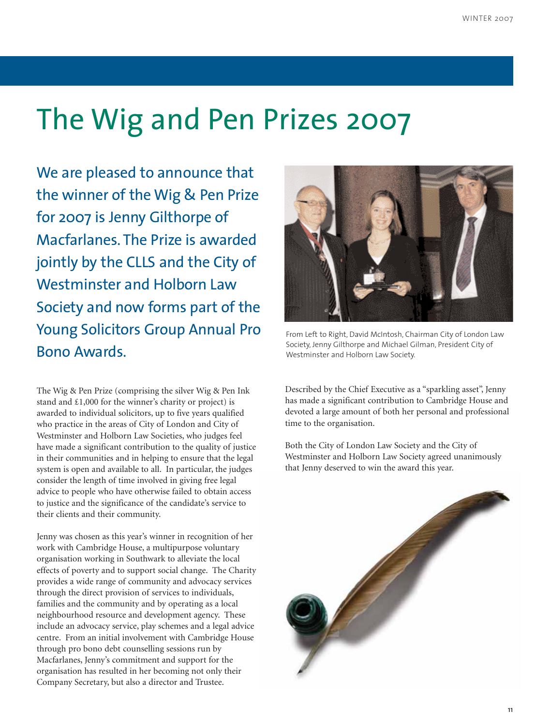# The Wig and Pen Prizes 2007

We are pleased to announce that the winner of the Wig & Pen Prize for 2007 is Jenny Gilthorpe of Macfarlanes. The Prize is awarded jointly by the CLLS and the City of Westminster and Holborn Law Society and now forms part of the Young Solicitors Group Annual Pro Bono Awards.

The Wig & Pen Prize (comprising the silver Wig & Pen Ink stand and £1,000 for the winner's charity or project) is awarded to individual solicitors, up to five years qualified who practice in the areas of City of London and City of Westminster and Holborn Law Societies, who judges feel have made a significant contribution to the quality of justice in their communities and in helping to ensure that the legal system is open and available to all. In particular, the judges consider the length of time involved in giving free legal advice to people who have otherwise failed to obtain access to justice and the significance of the candidate's service to their clients and their community.

Jenny was chosen as this year's winner in recognition of her work with Cambridge House, a multipurpose voluntary organisation working in Southwark to alleviate the local effects of poverty and to support social change. The Charity provides a wide range of community and advocacy services through the direct provision of services to individuals, families and the community and by operating as a local neighbourhood resource and development agency. These include an advocacy service, play schemes and a legal advice centre. From an initial involvement with Cambridge House through pro bono debt counselling sessions run by Macfarlanes, Jenny's commitment and support for the organisation has resulted in her becoming not only their Company Secretary, but also a director and Trustee.



From Left to Right, David McIntosh, Chairman City of London Law Society, Jenny Gilthorpe and Michael Gilman, President City of Westminster and Holborn Law Society.

Described by the Chief Executive as a "sparkling asset", Jenny has made a significant contribution to Cambridge House and devoted a large amount of both her personal and professional time to the organisation.

Both the City of London Law Society and the City of Westminster and Holborn Law Society agreed unanimously that Jenny deserved to win the award this year.